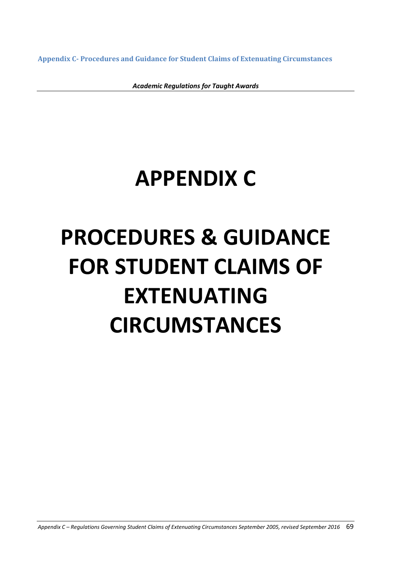**Appendix C- Procedures and Guidance for Student Claims of Extenuating Circumstances**

*Academic Regulations for Taught Awards*

# **APPENDIX C**

# **PROCEDURES & GUIDANCE FOR STUDENT CLAIMS OF EXTENUATING CIRCUMSTANCES**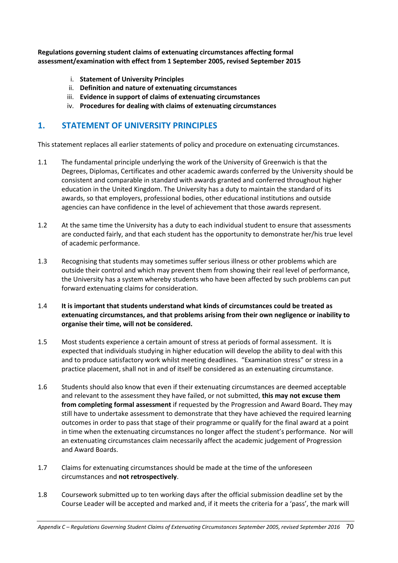**Regulations governing student claims of extenuating circumstances affecting formal assessment/examination with effect from 1 September 2005, revised September 2015**

- i. **Statement of University Principles**
- ii. **Definition and nature of extenuating circumstances**
- iii. **Evidence in support of claims of extenuating circumstances**
- iv. **Procedures for dealing with claims of extenuating circumstances**

# **1. STATEMENT OF UNIVERSITY PRINCIPLES**

This statement replaces all earlier statements of policy and procedure on extenuating circumstances.

- 1.1 The fundamental principle underlying the work of the University of Greenwich is that the Degrees, Diplomas, Certificates and other academic awards conferred by the University should be consistent and comparable in standard with awards granted and conferred throughout higher education in the United Kingdom. The University has a duty to maintain the standard of its awards, so that employers, professional bodies, other educational institutions and outside agencies can have confidence in the level of achievement that those awards represent.
- 1.2 At the same time the University has a duty to each individual student to ensure that assessments are conducted fairly, and that each student has the opportunity to demonstrate her/his true level of academic performance.
- 1.3 Recognising that students may sometimes suffer serious illness or other problems which are outside their control and which may prevent them from showing their real level of performance, the University has a system whereby students who have been affected by such problems can put forward extenuating claims for consideration.
- 1.4 **It is important that students understand what kinds of circumstances could be treated as extenuating circumstances, and that problems arising from their own negligence or inability to organise their time, will not be considered.**
- 1.5 Most students experience a certain amount of stress at periods of formal assessment. It is expected that individuals studying in higher education will develop the ability to deal with this and to produce satisfactory work whilst meeting deadlines. "Examination stress" or stress in a practice placement, shall not in and of itself be considered as an extenuating circumstance.
- 1.6 Students should also know that even if their extenuating circumstances are deemed acceptable and relevant to the assessment they have failed, or not submitted, **this may not excuse them from completing formal assessment** if requested by the Progression and Award Board**.** They may still have to undertake assessment to demonstrate that they have achieved the required learning outcomes in order to pass that stage of their programme or qualify for the final award at a point in time when the extenuating circumstances no longer affect the student's performance. Nor will an extenuating circumstances claim necessarily affect the academic judgement of Progression and Award Boards.
- 1.7 Claims for extenuating circumstances should be made at the time of the unforeseen circumstances and **not retrospectively**.
- 1.8 Coursework submitted up to ten working days after the official submission deadline set by the Course Leader will be accepted and marked and, if it meets the criteria for a 'pass', the mark will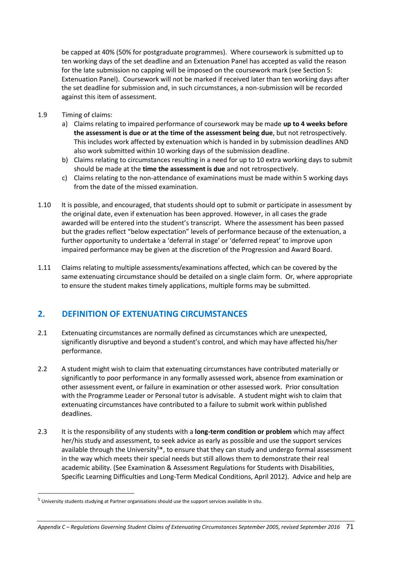be capped at 40% (50% for postgraduate programmes). Where coursework is submitted up to ten working days of the set deadline and an Extenuation Panel has accepted as valid the reason for the late submission no capping will be imposed on the coursework mark (see Section 5: Extenuation Panel). Coursework will not be marked if received later than ten working days after the set deadline for submission and, in such circumstances, a non-submission will be recorded against this item of assessment.

1.9 Timing of claims:

**.** 

- a) Claims relating to impaired performance of coursework may be made **up to 4 weeks before the assessment is due or at the time of the assessment being due**, but not retrospectively. This includes work affected by extenuation which is handed in by submission deadlines AND also work submitted within 10 working days of the submission deadline.
- b) Claims relating to circumstances resulting in a need for up to 10 extra working days to submit should be made at the **time the assessment is due** and not retrospectively.
- c) Claims relating to the non-attendance of examinations must be made within 5 working days from the date of the missed examination.
- 1.10 It is possible, and encouraged, that students should opt to submit or participate in assessment by the original date, even if extenuation has been approved. However, in all cases the grade awarded will be entered into the student's transcript. Where the assessment has been passed but the grades reflect "below expectation" levels of performance because of the extenuation, a further opportunity to undertake a 'deferral in stage' or 'deferred repeat' to improve upon impaired performance may be given at the discretion of the Progression and Award Board.
- 1.11 Claims relating to multiple assessments/examinations affected, which can be covered by the same extenuating circumstance should be detailed on a single claim form. Or, where appropriate to ensure the student makes timely applications, multiple forms may be submitted.

# **2. DEFINITION OF EXTENUATING CIRCUMSTANCES**

- 2.1 Extenuating circumstances are normally defined as circumstances which are unexpected, significantly disruptive and beyond a student's control, and which may have affected his/her performance.
- 2.2 A student might wish to claim that extenuating circumstances have contributed materially or significantly to poor performance in any formally assessed work, absence from examination or other assessment event, or failure in examination or other assessed work. Prior consultation with the Programme Leader or Personal tutor is advisable. A student might wish to claim that extenuating circumstances have contributed to a failure to submit work within published deadlines.
- 2.3 It is the responsibility of any students with a **long-term condition or problem** which may affect her/his study and assessment, to seek advice as early as possible and use the support services available through the University<sup>5\*</sup>, to ensure that they can study and undergo formal assessment in the way which meets their special needs but still allows them to demonstrate their real academic ability. (See Examination & Assessment Regulations for Students with Disabilities, Specific Learning Difficulties and Long-Term Medical Conditions, April 2012). Advice and help are

<sup>5</sup> University students studying at Partner organisations should use the support services available in situ.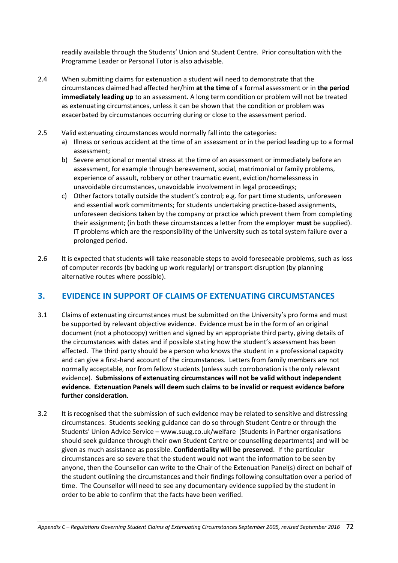readily available through the Students' Union and Student Centre. Prior consultation with the Programme Leader or Personal Tutor is also advisable.

- 2.4 When submitting claims for extenuation a student will need to demonstrate that the circumstances claimed had affected her/him **at the time** of a formal assessment or in **the period immediately leading up** to an assessment. A long term condition or problem will not be treated as extenuating circumstances, unless it can be shown that the condition or problem was exacerbated by circumstances occurring during or close to the assessment period.
- 2.5 Valid extenuating circumstances would normally fall into the categories:
	- a) Illness or serious accident at the time of an assessment or in the period leading up to a formal assessment;
	- b) Severe emotional or mental stress at the time of an assessment or immediately before an assessment, for example through bereavement, social, matrimonial or family problems, experience of assault, robbery or other traumatic event, eviction/homelessness in unavoidable circumstances, unavoidable involvement in legal proceedings;
	- c) Other factors totally outside the student's control; e.g. for part time students, unforeseen and essential work commitments; for students undertaking practice-based assignments, unforeseen decisions taken by the company or practice which prevent them from completing their assignment; (in both these circumstances a letter from the employer **must** be supplied). IT problems which are the responsibility of the University such as total system failure over a prolonged period.
- 2.6 It is expected that students will take reasonable steps to avoid foreseeable problems, such as loss of computer records (by backing up work regularly) or transport disruption (by planning alternative routes where possible).

# **3. EVIDENCE IN SUPPORT OF CLAIMS OF EXTENUATING CIRCUMSTANCES**

- 3.1 Claims of extenuating circumstances must be submitted on the University's pro forma and must be supported by relevant objective evidence. Evidence must be in the form of an original document (not a photocopy) written and signed by an appropriate third party, giving details of the circumstances with dates and if possible stating how the student's assessment has been affected. The third party should be a person who knows the student in a professional capacity and can give a first-hand account of the circumstances. Letters from family members are not normally acceptable, nor from fellow students (unless such corroboration is the only relevant evidence). **Submissions of extenuating circumstances will not be valid without independent evidence. Extenuation Panels will deem such claims to be invalid or request evidence before further consideration.**
- 3.2 It is recognised that the submission of such evidence may be related to sensitive and distressing circumstances. Students seeking guidance can do so through Student Centre or through the Students' Union Advice Service – www.suug.co.uk/welfare (Students in Partner organisations should seek guidance through their own Student Centre or counselling departments) and will be given as much assistance as possible. **Confidentiality will be preserved**. If the particular circumstances are so severe that the student would not want the information to be seen by anyone, then the Counsellor can write to the Chair of the Extenuation Panel(s) direct on behalf of the student outlining the circumstances and their findings following consultation over a period of time. The Counsellor will need to see any documentary evidence supplied by the student in order to be able to confirm that the facts have been verified.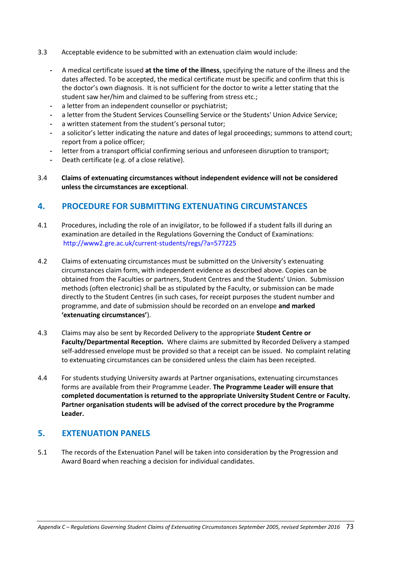- 3.3 Acceptable evidence to be submitted with an extenuation claim would include:
	- **-** A medical certificate issued **at the time of the illness**, specifying the nature of the illness and the dates affected. To be accepted, the medical certificate must be specific and confirm that this is the doctor's own diagnosis. It is not sufficient for the doctor to write a letter stating that the student saw her/him and claimed to be suffering from stress etc.;
	- **-** a letter from an independent counsellor or psychiatrist;
	- **-** a letter from the Student Services Counselling Service or the Students' Union Advice Service;
	- **-** a written statement from the student's personal tutor;
	- **-** a solicitor's letter indicating the nature and dates of legal proceedings; summons to attend court; report from a police officer;
	- **-** letter from a transport official confirming serious and unforeseen disruption to transport;
	- **-** Death certificate (e.g. of a close relative).
- 3.4 **Claims of extenuating circumstances without independent evidence will not be considered unless the circumstances are exceptional**.

# **4. PROCEDURE FOR SUBMITTING EXTENUATING CIRCUMSTANCES**

- 4.1 Procedures, including the role of an invigilator, to be followed if a student falls ill during an examination are detailed in the Regulations Governing the Conduct of Examinations: http://www2.gre.ac.uk/current-students/regs/?a=577225
- 4.2 Claims of extenuating circumstances must be submitted on the University's extenuating circumstances claim form, with independent evidence as described above. Copies can be obtained from the Faculties or partners, Student Centres and the Students' Union. Submission methods (often electronic) shall be as stipulated by the Faculty, or submission can be made directly to the Student Centres (in such cases, for receipt purposes the student number and programme, and date of submission should be recorded on an envelope **and marked 'extenuating circumstances'**).
- 4.3 Claims may also be sent by Recorded Delivery to the appropriate **Student Centre or Faculty/Departmental Reception.** Where claims are submitted by Recorded Delivery a stamped self-addressed envelope must be provided so that a receipt can be issued. No complaint relating to extenuating circumstances can be considered unless the claim has been receipted.
- 4.4 For students studying University awards at Partner organisations, extenuating circumstances forms are available from their Programme Leader. **The Programme Leader will ensure that completed documentation is returned to the appropriate University Student Centre or Faculty. Partner organisation students will be advised of the correct procedure by the Programme Leader.**

# **5. EXTENUATION PANELS**

5.1 The records of the Extenuation Panel will be taken into consideration by the Progression and Award Board when reaching a decision for individual candidates.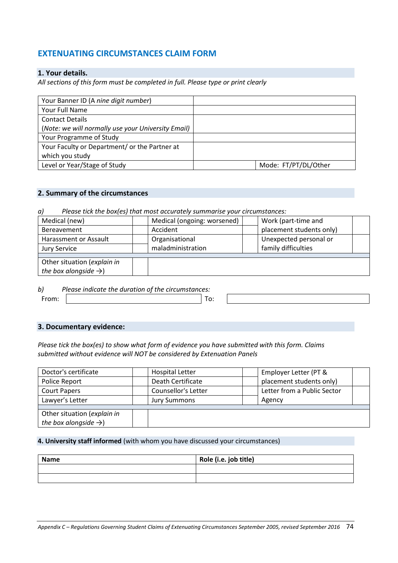# **EXTENUATING CIRCUMSTANCES CLAIM FORM**

# **1. Your details.**

*All sections of this form must be completed in full. Please type or print clearly*

| Your Banner ID (A nine digit number)               |                      |
|----------------------------------------------------|----------------------|
| Your Full Name                                     |                      |
| <b>Contact Details</b>                             |                      |
| (Note: we will normally use your University Email) |                      |
| Your Programme of Study                            |                      |
| Your Faculty or Department/ or the Partner at      |                      |
| which you study                                    |                      |
| Level or Year/Stage of Study                       | Mode: FT/PT/DL/Other |

# **2. Summary of the circumstances**

*a) Please tick the box(es) that most accurately summarise your circumstances:*

| Medical (new)                     | Medical (ongoing: worsened) |  | Work (part-time and      |  |
|-----------------------------------|-----------------------------|--|--------------------------|--|
| Bereavement                       | Accident                    |  | placement students only) |  |
| Harassment or Assault             | Organisational              |  | Unexpected personal or   |  |
| <b>Jury Service</b>               | maladministration           |  | family difficulties      |  |
|                                   |                             |  |                          |  |
| Other situation (explain in       |                             |  |                          |  |
| the box alongside $\rightarrow$ ) |                             |  |                          |  |
|                                   |                             |  |                          |  |

*b) Please indicate the duration of the circumstances:* From:  $\vert$  To:

## **3. Documentary evidence:**

*Please tick the box(es) to show what form of evidence you have submitted with this form. Claims submitted without evidence will NOT be considered by Extenuation Panels*

| Doctor's certificate              | <b>Hospital Letter</b>     | Employer Letter (PT &       |
|-----------------------------------|----------------------------|-----------------------------|
| Police Report                     | Death Certificate          | placement students only)    |
| <b>Court Papers</b>               | <b>Counsellor's Letter</b> | Letter from a Public Sector |
| Lawyer's Letter                   | <b>Jury Summons</b>        | Agency                      |
|                                   |                            |                             |
| Other situation (explain in       |                            |                             |
| the box alongside $\rightarrow$ ) |                            |                             |

#### **4. University staff informed** (with whom you have discussed your circumstances)

| <b>Name</b> | Role (i.e. job title) |
|-------------|-----------------------|
|             |                       |
|             |                       |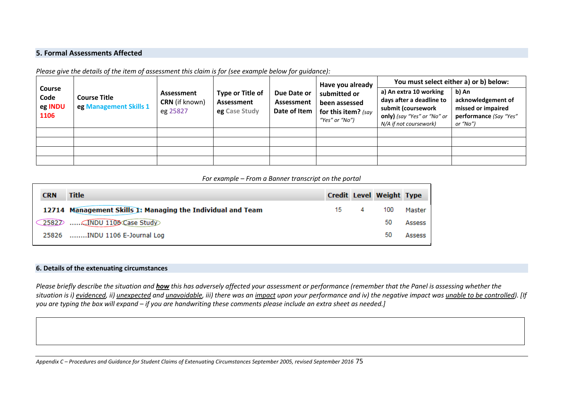# **5. Formal Assessments Affected**

*Please give the details of the item of assessment this claim is for (see example below for guidance):*

| <b>Course</b><br>Code<br>eg INDU<br>1106 | <b>Course Title</b><br>eg Management Skills 1 | Assessment<br><b>CRN</b> (if known)<br>eg 25827 | Type or Title of<br>Assessment<br>eg Case Study | Due Date or<br>Assessment<br>Date of Item | Have you already<br>submitted or<br>been assessed<br>for this item? (say<br>"Yes" or "No") | You must select either a) or b) below:                                                                                            |                                                                                         |  |
|------------------------------------------|-----------------------------------------------|-------------------------------------------------|-------------------------------------------------|-------------------------------------------|--------------------------------------------------------------------------------------------|-----------------------------------------------------------------------------------------------------------------------------------|-----------------------------------------------------------------------------------------|--|
|                                          |                                               |                                                 |                                                 |                                           |                                                                                            | a) An extra 10 working<br>days after a deadline to<br>submit (coursework<br>only) (say "Yes" or "No" or<br>N/A if not coursework) | b) An<br>acknowledgement of<br>missed or impaired<br>performance (Say "Yes"<br>or "No") |  |
|                                          |                                               |                                                 |                                                 |                                           |                                                                                            |                                                                                                                                   |                                                                                         |  |
|                                          |                                               |                                                 |                                                 |                                           |                                                                                            |                                                                                                                                   |                                                                                         |  |
|                                          |                                               |                                                 |                                                 |                                           |                                                                                            |                                                                                                                                   |                                                                                         |  |
|                                          |                                               |                                                 |                                                 |                                           |                                                                                            |                                                                                                                                   |                                                                                         |  |

#### *For example – From a Banner transcript on the portal*

| <b>CRN</b> | <b>Title</b>                                                |     |   | Credit Level Weight Type |        |
|------------|-------------------------------------------------------------|-----|---|--------------------------|--------|
|            | 12714 Management Skills 1: Managing the Individual and Team | 15. | 4 | 100                      | Master |
|            | 2582D  (INDU 1106 Case Study)                               |     |   | 50                       | Assess |
| 25826      | INDU 1106 E-Journal Log                                     |     |   | 50                       | Assess |
|            |                                                             |     |   |                          |        |

#### **6. Details of the extenuating circumstances**

*Please briefly describe the situation and how this has adversely affected your assessment or performance (remember that the Panel is assessing whether the situation is i) evidenced, ii) unexpected and unavoidable, iii) there was an impact upon your performance and iv) the negative impact was unable to be controlled). [If you are typing the box will expand – if you are handwriting these comments please include an extra sheet as needed.]*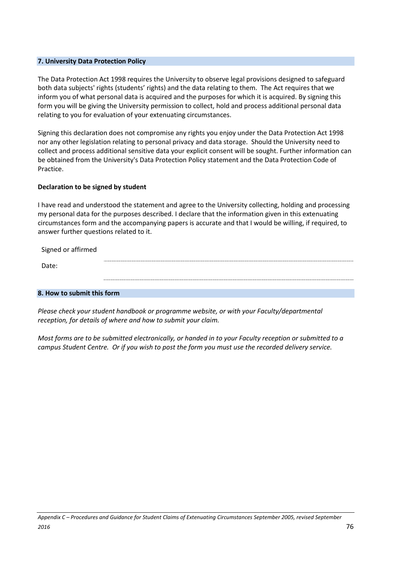#### **7. University Data Protection Policy**

The Data Protection Act 1998 requires the University to observe legal provisions designed to safeguard both data subjects' rights (students' rights) and the data relating to them. The Act requires that we inform you of what personal data is acquired and the purposes for which it is acquired. By signing this form you will be giving the University permission to collect, hold and process additional personal data relating to you for evaluation of your extenuating circumstances.

Signing this declaration does not compromise any rights you enjoy under the Data Protection Act 1998 nor any other legislation relating to personal privacy and data storage. Should the University need to collect and process additional sensitive data your explicit consent will be sought. Further information can be obtained from the University's Data Protection Policy statement and the Data Protection Code of Practice.

#### **Declaration to be signed by student**

I have read and understood the statement and agree to the University collecting, holding and processing my personal data for the purposes described. I declare that the information given in this extenuating circumstances form and the accompanying papers is accurate and that I would be willing, if required, to answer further questions related to it.

| Signed or affirmed |  |
|--------------------|--|
| Date:              |  |
|                    |  |

# **8. How to submit this form**

*Please check your student handbook or programme website, or with your Faculty/departmental reception, for details of where and how to submit your claim.*

*Most forms are to be submitted electronically, or handed in to your Faculty reception or submitted to a campus Student Centre. Or if you wish to post the form you must use the recorded delivery service.*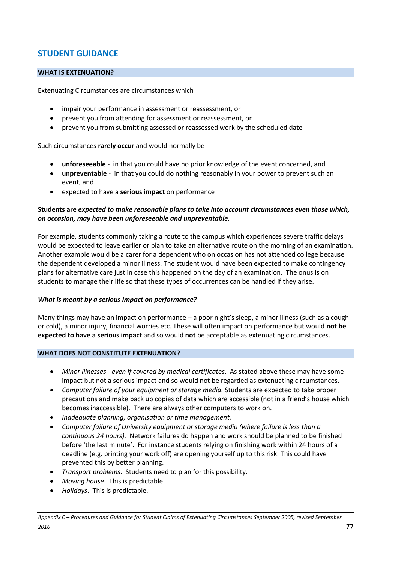# **STUDENT GUIDANCE**

# **WHAT IS EXTENUATION?**

Extenuating Circumstances are circumstances which

- impair your performance in assessment or reassessment, or
- prevent you from attending for assessment or reassessment, or
- prevent you from submitting assessed or reassessed work by the scheduled date

Such circumstances **rarely occur** and would normally be

- **unforeseeable** in that you could have no prior knowledge of the event concerned, and
- **unpreventable**  in that you could do nothing reasonably in your power to prevent such an event, and
- expected to have a **serious impact** on performance

# **Students are** *expected to make reasonable plans to take into account circumstances even those which, on occasion, may have been unforeseeable and unpreventable.*

For example, students commonly taking a route to the campus which experiences severe traffic delays would be expected to leave earlier or plan to take an alternative route on the morning of an examination. Another example would be a carer for a dependent who on occasion has not attended college because the dependent developed a minor illness. The student would have been expected to make contingency plans for alternative care just in case this happened on the day of an examination. The onus is on students to manage their life so that these types of occurrences can be handled if they arise.

#### *What is meant by a serious impact on performance?*

Many things may have an impact on performance – a poor night's sleep, a minor illness (such as a cough or cold), a minor injury, financial worries etc. These will often impact on performance but would **not be expected to have a serious impact** and so would **not** be acceptable as extenuating circumstances.

#### **WHAT DOES NOT CONSTITUTE EXTENUATION?**

- *Minor illnesses - even if covered by medical certificates*. As stated above these may have some impact but not a serious impact and so would not be regarded as extenuating circumstances.
- *Computer failure of your equipment or storage media.* Students are expected to take proper precautions and make back up copies of data which are accessible (not in a friend's house which becomes inaccessible). There are always other computers to work on.
- *Inadequate planning, organisation or time management.*
- *Computer failure of University equipment or storage media (where failure is less than a continuous 24 hours).* Network failures do happen and work should be planned to be finished before 'the last minute'. For instance students relying on finishing work within 24 hours of a deadline (e.g. printing your work off) are opening yourself up to this risk. This could have prevented this by better planning.
- *Transport problems*. Students need to plan for this possibility.
- *Moving house*. This is predictable.
- *Holidays*. This is predictable.